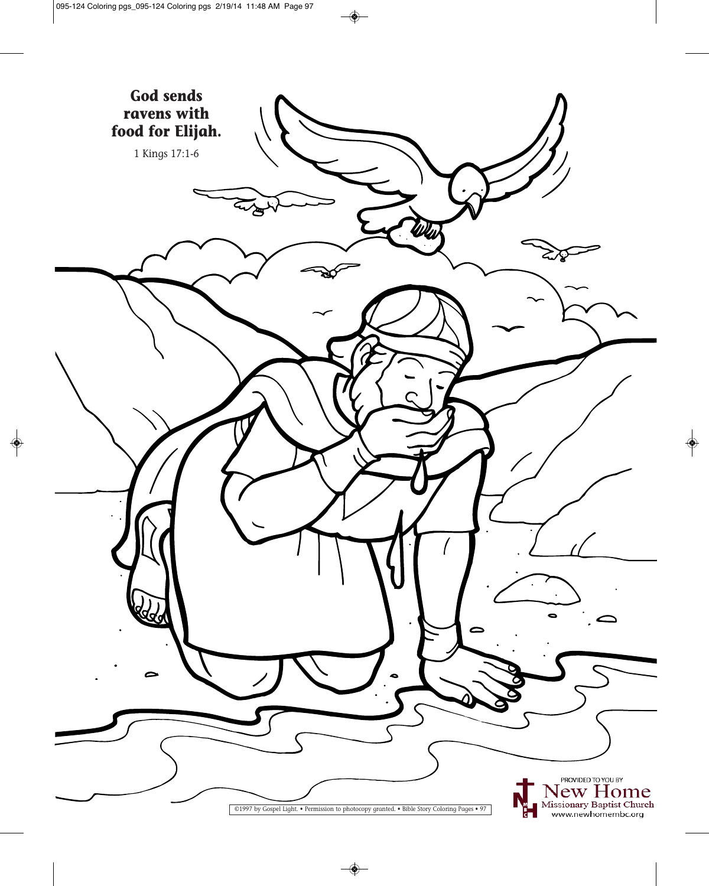